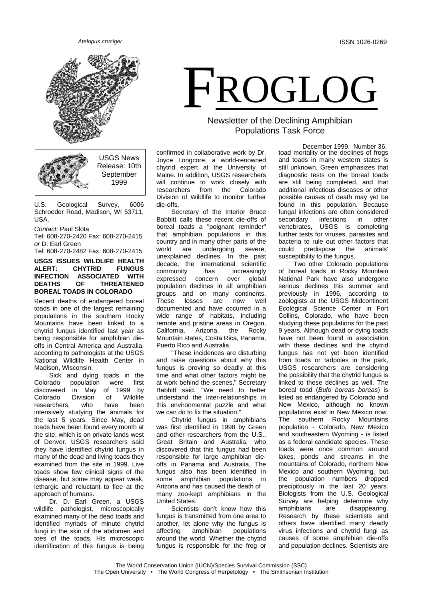

USGS News Release: 10th **September** 1999

U.S. Geological Survey, 6006 Schroeder Road, Madison, WI 53711,  $IISA$ 

#### *Contact:* Paul Slota

Tel: 608-270-2420 Fax: 608-270-2415 *or* D. Earl Green

Tel: 608-270-2482 Fax: 608-270-2415

#### **USGS ISSUES WILDLIFE HEALTH ALERT: CHYTRID FUNGUS INSSOCIATED<br>OF THREAT DEATHS OF THREATENED BOREAL TOADS IN COLORADO**

Recent deaths of endangered boreal toads in one of the largest remaining populations in the southern Rocky Mountains have been linked to a chytrid fungus identified last year as being responsible for amphibian dieoffs in Central America and Australia, according to pathologists at the USGS National Wildlife Health Center in Madison, Wisconsin.

Sick and dying toads in the<br>Colorado population were first population discovered in May of 1999 by Colorado Division of Wildlife<br>researchers, who have been researchers intensively studying the animals for the last 5 years. Since May, dead toads have been found every month at the site, which is on private lands west of Denver. USGS researchers said they have identified chytrid fungus in many of the dead and living toads they examined from the site in 1999. Live toads show few clinical signs of the disease, but some may appear weak, lethargic and reluctant to flee at the approach of humans.

Dr. D. Earl Green, a USGS wildlife pathologist, microscopically examined many of the dead toads and identified myriads of minute chytrid fungi in the skin of the abdomen and toes of the toads. His microscopic identification of this fungus is being

# FROGLOG

## Newsletter of the Declining Amphibian Populations Task Force

confirmed in collaborative work by Dr. Joyce Longcore, a world-renowned chytrid expert at the University of Maine. In addition, USGS researchers will continue to work closely with<br>researchers from the Colorado researchers from the Division of Wildlife to monitor further die-offs.

Secretary of the Interior Bruce Babbitt calls these recent die-offs of boreal toads a "poignant reminder" that amphibian populations in this country and in many other parts of the<br>world are undergoing severe, undergoing unexplained declines. In the past decade, the international scientific community has increasingly<br>expressed concern over alobal expressed concern over global population declines in all amphibian groups and on many continents.<br>These losses are now well These losses are now well documented and have occurred in a wide range of habitats, including remote and pristine areas in Oregon,<br>California. Arizona. the Rocky California. Mountain states, Costa Rica, Panama, Puerto Rico and Australia.

"These incidences are disturbing and raise questions about why this fungus is proving so deadly at this time and what other factors might be at work behind the scenes," Secretary Babbitt said. "We need to better understand the inter-relationships in this environmental puzzle and what we can do to fix the situation."

Chytrid fungus in amphibians was first identified in 1998 by Green and other researchers from the U.S., Great Britain and Australia, who discovered that this fungus had been responsible for large amphibian dieoffs in Panama and Australia. The fungus also has been identified in some amphibian populations in Arizona and has caused the death of many zoo-kept amphibians in the United States.

Scientists don't know how this fungus is transmitted from one area to another, let alone why the fungus is<br>affecting amphibian populations affecting amphibian populations around the world. Whether the chytrid fungus is responsible for the frog or

December 1999, Number 36. toad mortality or the declines of frogs and toads in many western states is still unknown. Green emphasizes that diagnostic tests on the boreal toads are still being completed, and that additional infectious diseases or other possible causes of death may yet be found in this population. Because fungal infections are often considered secondary infections in other vertebrates, USGS is completing further tests for viruses, parasites and bacteria to rule out other factors that<br>could predispose the animals' predispose the susceptibility to the fungus.

Two other Colorado populations of boreal toads in Rocky Mountain National Park have also undergone serious declines this summer and previously in 1996, according to zoologists at the USGS Midcontinent Ecological Science Center in Fort Collins, Colorado, who have been studying these populations for the past 9 years. Although dead or dying toads have not been found in association with these declines and the chytrid fungus has not yet been identified from toads or tadpoles in the park, USGS researchers are considering the possibility that the chytrid fungus is linked to these declines as well. The boreal toad (*Bufo boreas boreas*) is listed as endangered by Colorado and New Mexico, although no known populations exist in New Mexico now.<br>The southern Rocky Mountains .<br>The southern population - Colorado, New Mexico and southeastern Wyoming - is listed as a federal candidate species. These toads were once common around lakes, ponds and streams in the mountains of Colorado, northern New Mexico and southern Wyoming, but the population numbers dropped precipitously in the last 20 years. Biologists from the U.S. Geological Survey are helping determine why amphibians are disappearing. Research by these scientists and others have identified many deadly virus infections and chytrid fungi as causes of some amphibian die-offs and population declines. Scientists are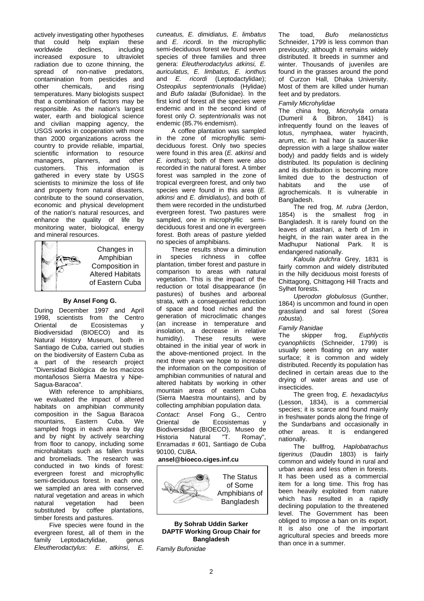actively investigating other hypotheses<br>that could help explain these that could help explain these<br>worldwide declines, including worldwide declines, including increased exposure to ultraviolet radiation due to ozone thinning, the spread of non-native predators, contamination from pesticides and<br>other chemicals, and rising chemicals, and rising temperatures. Many biologists suspect that a combination of factors may be responsible. As the nation's largest water, earth and biological science and civilian mapping agency, the USGS works in cooperation with more than 2000 organizations across the country to provide reliable, impartial, scientific information to resource<br>managers, planners, and other managers, planners,<br>customers. This inf This information is gathered in every state by USGS scientists to minimize the loss of life and property from natural disasters, contribute to the sound conservation, economic and physical development of the nation's natural resources, and enhance the quality of life by monitoring water, biological, energy and mineral resources.



Changes in Amphibian Composition in Altered Habitats of Eastern Cuba

#### **By Ansel Fong G.**

During December 1997 and April 1998, scientists from the Centro<br>Oriental de Ecosistemas v Ecosistemas y<br>OECO) and its Biodiversidad (BIOECO) and Natural History Museum, both in Santiago de Cuba, carried out studies on the biodiversity of Eastern Cuba as a part of the research project "Diversidad Biológica de los macizos montañosos Sierra Maestra y Nipe-Sagua-Baracoa".

With reference to amphibians, we evaluated the impact of altered habitats on amphibian community composition in the Sagua Baracoa<br>mountains Fastern Cuba We mountains, Eastern Cuba. sampled frogs in each area by day and by night by actively searching from floor to canopy, including some microhabitats such as fallen trunks and bromeliads. The research was conducted in two kinds of forest: evergreen forest and microphyllic semi-deciduous forest. In each one, we sampled an area with conserved natural vegetation and areas in which<br>natural vegetation had been vegetation had been substituted by coffee plantations, timber forests and pastures.

Five species were found in the evergreen forest, all of them in the family Leptodactylidae, genus *Eleutherodactylus*: *E. atkinsi, E.* 

*cuneatus, E. dimidiatus, E. limbatus* and *E. ricordi*. In the microphyllic semi-deciduous forest we found seven species of three families and three genera: *Eleutherodactylus atkinsi, E. auriculatus, E. limbatus, E. ionthus*  and *E. ricordi* (Leptodactylidae); *Osteopilus septentrionalis* (Hylidae) and *Bufo taladai* (Bufonidae). In the first kind of forest all the species were endemic and in the second kind of forest only *O. septentrionalis* was not endemic (85.7% endemism).

A coffee plantation was sampled in the zone of microphyllic semideciduous forest. Only two species were found in this area (*E. atkinsi* and *E. ionthus*); both of them were also recorded in the natural forest. A timber forest was sampled in the zone of tropical evergreen forest, and only two species were found in this area (*E. atkinsi* and *E. dimidiatus*), and both of them were recorded in the undisturbed evergreen forest. Two pastures were sampled, one in microphyllic semideciduous forest and one in evergreen forest. Both areas of pasture yielded no species of amphibians.

These results show a diminution in species richness in coffee plantation, timber forest and pasture in comparison to areas with natural vegetation. This is the impact of the reduction or total disappearance (in pastures) of bushes and arboreal strata, with a consequential reduction of space and food niches and the generation of microclimatic changes (an increase in temperature and insolation, a decrease in relative<br>humidity). These results were humidity). These results were obtained in the initial year of work in the above-mentioned project. In the next three years we hope to increase the information on the composition of amphibian communities of natural and altered habitats by working in other mountain areas of eastern Cuba (Sierra Maestra mountains), and by collecting amphibian population data.

*Contact:* Ansel Fong G., Centro Oriental de Ecosistemas y Biodiversidad (BIOECO), Museo de<br>Historia Natural "T. Romav". Natural Enramadas # 601, Santiago de Cuba 90100, CUBA.

#### **ansel@bioeco.ciges.inf.cu**



**By Sohrab Uddin Sarker DAPTF Working Group Chair for Bangladesh**

*Family Bufonidae*

The toad, *Bufo melanostictus* Schneider, 1799 is less common than previously; although it remains widely distributed. It breeds in summer and winter. Thousands of juveniles are found in the grasses around the pond of Curzon Hall, Dhaka University. Most of them are killed under human feet and by predators.

#### *Family Microhylidae*

The china frog, *Microhyla ornata*  (Dumeril & Bibron, 1841) is infrequently found on the leaves of lotus, nymphaea, water hyacinth, arum, etc. in hail haor (a saucer-like depression with a large shallow water body) and paddy fields and is widely distributed. Its population is declining and its distribution is becoming more limited due to the destruction of<br>habitats and the use of habitats agrochemicals. It is vulnerable in Bangladesh.

The red frog, *M. rubra* (Jerdon, 1854) is the smallest frog in Bangladesh. It is rarely found on the leaves of atashari, a herb of 1m in height, in the rain water area in the Madhupur National Park. It is endangered nationally.

*Kaloula pulchra* Grey, 1831 is fairly common and widely distributed in the hilly deciduous moist forests of Chittagong, Chittagong Hill Tracts and Sylhet forests.

*Uperodon globulosus* (Gunther, 1864) is uncommon and found in open grassland and sal forest (*Sorea robusta*).

# *Family Ranidae*

frog, *Euphlyctis cyanophlictis* (Schneider, 1799) is usually seen floating on any water surface; it is common and widely distributed. Recently its population has declined in certain areas due to the drying of water areas and use of insecticides.

The green frog, *E. hexadactylus*  (Lesson, 1834), is a commercial species; it is scarce and found mainly in freshwater ponds along the fringe of the Sundarbans and occasionally in other areas. It is endangered nationally.

The bullfrog*, Haplobatrachus tigerinus* (Daudin 1803) is fairly common and widely found in rural and urban areas and less often in forests. It has been used as a commercial item for a long time. This frog has been heavily exploited from nature which has resulted in a rapidly declining population to the threatened level. The Government has been obliged to impose a ban on its export. It is also one of the important agricultural species and breeds more than once in a summer.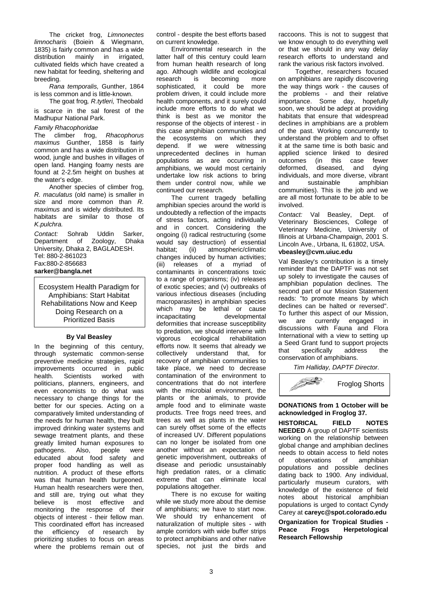The cricket frog, *Limnonectes limnocharis* (Boiein & Wiegmann, 1835) is fairly common and has a wide<br>distribution mainly in irrigated. distribution cultivated fields which have created a new habitat for feeding, sheltering and breeding.

*Rana temporalis,* Gunther, 1864 is less common and is little-known. The goat frog*, R.tytleri,* Theobald

is scarce in the sal forest of the Madhupur National Park.

#### *Family Rhacophoridae*

The climber frog, *Rhacophorus maximus* Gunther, 1858 is fairly common and has a wide distribution in wood, jungle and bushes in villages of open land. Hanging foamy nests are found at 2-2.5m height on bushes at the water's edge.

Another species of climber frog, *R. maculatus* (old name) is smaller in size and more common than *R. maximus* and is widely distributed. Its habitats are similar to those of *K.pulchra.* 

*Contact:* Sohrab Uddin Sarker, Department of Zoology, University, Dhaka 2, BAGLADESH. Tel: 880-2-861023 Fax:880-2-856683 **sarker@bangla.net**

Ecosystem Health Paradigm for Amphibians: Start Habitat Rehabilitations Now and Keep Doing Research on a Prioritized Basis

#### **By Val Beasley**

In the beginning of this century, through systematic common-sense preventive medicine strategies, rapid improvements occurred in public<br>health. Scientists worked with Scientists politicians, planners, engineers, and even economists to do what was necessary to change things for the better for our species. Acting on a comparatively limited understanding of the needs for human health, they built improved drinking water systems and sewage treatment plants, and these greatly limited human exposures to<br>pathogens. Also, people were pathogens. educated about food safety and proper food handling as well as nutrition. A product of these efforts was that human health burgeoned. Human health researchers were then, and still are, trying out what they<br>believe is most effective and believe is most effective monitoring the response of their objects of interest - their fellow man. This coordinated effort has increased the efficiency of research by prioritizing studies to focus on areas where the problems remain out of

control - despite the best efforts based on current knowledge.

Environmental research in the latter half of this century could learn from human health research of long ago. Although wildlife and ecological<br>research is becoming more is becoming sophisticated, it could be more problem driven, it could include more health components, and it surely could include more efforts to do what we think is best as we monitor the response of the objects of interest - in this case amphibian communities and the ecosystems on which they depend. If we were witnessing unprecedented declines in human populations as are occurring in amphibians, we would most certainly undertake low risk actions to bring them under control now, while we continued our research.

The current tragedy befalling amphibian species around the world is undoubtedly a reflection of the impacts of stress factors, acting individually and in concert. Considering the ongoing (i) radical restructuring (some would say destruction) of essential<br>habitat; (ii) atmospheric/climatic atmospheric/climatic changes induced by human activities; (iii) releases of a myriad of contaminants in concentrations toxic to a range of organisms; (iv) releases of exotic species; and (v) outbreaks of various infectious diseases (including macroparasites) in amphibian species which may be lethal or cause incapacitating developmental deformities that increase susceptibility to predation, we should intervene with vigorous ecological rehabilitation efforts now. It seems that already we collectively understand that, for recovery of amphibian communities to take place, we need to decrease contamination of the environment to concentrations that do not interfere with the microbial environment, the plants or the animals, to provide ample food and to eliminate waste products. Tree frogs need trees, and trees as well as plants in the water can surely offset some of the effects of increased UV. Different populations can no longer be isolated from one another without an expectation of genetic impoverishment, outbreaks of disease and periodic unsustainably high predation rates, or a climatic extreme that can eliminate local populations altogether.

There is no excuse for waiting while we study more about the demise of amphibians; we have to start now. We should try enhancement of naturalization of multiple sites - with ample corridors with wide buffer strips to protect amphibians and other native species, not just the birds and raccoons. This is not to suggest that we know enough to do everything well or that we should in any way delay research efforts to understand and rank the various risk factors involved.

Together, researchers focused on amphibians are rapidly discovering the way things work - the causes of the problems - and their relative importance. Some day, hopefully soon, we should be adept at providing habitats that ensure that widespread declines in amphibians are a problem of the past. Working concurrently to understand the problem and to offset it at the same time is both basic and applied science linked to desired<br>outcomes (in this case fewer outcomes (in this case fewer<br>deformed, diseased, and dving diseased, individuals, and more diverse, vibrant sustainable communities). This is the job and we are all most fortunate to be able to be involved.

*Contact:* Val Beasley, Dept. of Veterinary Biosciences, College of Veterinary Medicine, University of Illinois at Urbana-Champaign, 2001 S. Lincoln Ave., Urbana, IL 61802, USA. **vbeasley@cvm.uiuc.edu**

Val Beasley's contribution is a timely reminder that the DAPTF was not set up solely to investigate the causes of amphibian population declines. The second part of our Mission Statement reads: "to promote means by which declines can be halted or reversed". To further this aspect of our Mission,<br>we are currently engaged in are currently engaged in discussions with Fauna and Flora International with a view to setting up a Seed Grant fund to support projects<br>that specifically address the that specifically conservation of amphibians.

*Tim Halliday, DAPTF Director.*



### **DONATIONS from 1 October will be acknowledged in Froglog 37.**

**HISTORICAL FIELD NOTES NEEDED** A group of DAPTF scientists working on the relationship between global change and amphibian declines needs to obtain access to field notes of observations of amphibian populations and possible declines dating back to 1900. Any individual, particularly museum curators, with knowledge of the existence of field notes about historical amphibian populations is urged to contact Cyndy Carey at **careyc@spot.colorado.edu**

**Organization for Tropical Studies - Herpetological Research Fellowship**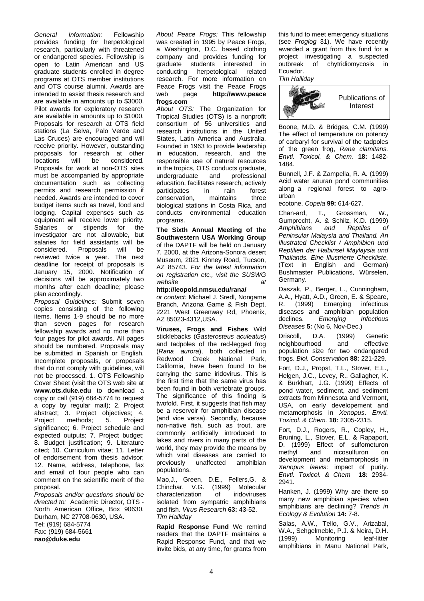*General Information:* Fellowship provides funding for herpetological research, particularly with threatened or endangered species. Fellowship is open to Latin American and US graduate students enrolled in degree programs at OTS member institutions and OTS course alumni. Awards are intended to assist thesis research and are available in amounts up to \$3000. Pilot awards for exploratory research are available in amounts up to \$1000. Proposals for research at OTS field stations (La Selva, Palo Verde and Las Cruces) are encouraged and will receive priority. However, outstanding proposals for research at other<br>locations will be considered. considered. Proposals for work at non-OTS sites must be accompanied by appropriate documentation such as collecting permits and research permission if needed. Awards are intended to cover budget items such as travel, food and lodging. Capital expenses such as equipment will receive lower priority. Salaries or stipends for the investigator are not allowable, but salaries for field assistants will be considered. Proposals will be Proposals reviewed twice a year. The next deadline for receipt of proposals is January 15, 2000. Notification of decisions will be approximately two months after each deadline; please plan accordingly.

*Proposal Guidelines:* Submit seven copies consisting of the following items. Items 1-9 should be no more than seven pages for research fellowship awards and no more than four pages for pilot awards. All pages should be numbered. Proposals may be submitted in Spanish or English. Incomplete proposals, or proposals that do not comply with guidelines, will not be processed. 1. OTS Fellowship Cover Sheet (visit the OTS web site at **www.ots.duke.edu** to download a copy or call (919) 684-5774 to request a copy by regular mail); 2. Project abstract; 3. Project objectives; 4.<br>Project methods: 5. Project Project methods; significance; 6. Project schedule and expected outputs; 7. Project budget; 8. Budget justification; 9. Literature cited; 10. Curriculum vitae; 11. Letter of endorsement from thesis advisor; 12. Name, address, telephone, fax and email of four people who can comment on the scientific merit of the proposal.

*Proposals and/or questions should be directed to:* Academic Director, OTS - North American Office, Box 90630, Durham, NC 27708-0630, USA. Tel: (919) 684-5774 Fax: (919) 684-5661

**nao@duke.edu**

*About Peace Frogs:* This fellowship was created in 1995 by Peace Frogs, a Washington, D.C. based clothing company and provides funding for<br>
graduate students interested in graduate students interested conducting herpetological related research. For more information on Peace Frogs visit the Peace Frogs web page **http://www.peace frogs.com**

*About OTS:* The Organization for Tropical Studies (OTS) is a nonprofit consortium of 56 universities and research institutions in the United States, Latin America and Australia. Founded in 1963 to provide leadership in education, research, and the responsible use of natural resources in the tropics, OTS conducts graduate,<br>undergraduate and professional undergraduate education, facilitates research, actively<br>participates in rain forest participates in rain forest<br>conservation. maintains three conservation. biological stations in Costa Rica, and conducts environmental education programs.

**The Sixth Annual Meeting of the Southwestern USA Working Group**  of the DAPTF will be held on January 7, 2000, at the Arizona-Sonora desert Museum, 2021 Kinney Road, Tucson, AZ 85743. *For the latest information on registration etc., visit the SUSWG website at* 

**http://leopold.nmsu.edu/rana/**

*or contact:* Michael J. Sredl, Nongame Branch, Arizona Game & Fish Dept, 2221 West Greenway Rd, Phoenix, AZ 85023-4312,USA.

**Viruses, Frogs and Fishes** Wild sticklebacks (*Gasterosteus aculeatus*) and tadpoles of the red-legged frog (*Rana aurora*), both collected in Redwood Creek National Park, California, have been found to be carrying the same iridovirus. This is the first time that the same virus has been found in both vertebrate groups. The significance of this finding is twofold. First, it suggests that fish may be a reservoir for amphibian disease (and vice versa). Secondly, because non-native fish, such as trout, are commonly artificially introduced to lakes and rivers in many parts of the world, they may provide the means by which viral diseases are carried to previously unaffected amphibian populations.

Mao,J., Green, D.E., Fellers,G. & Chinchar, V.G. (1999) Molecular characterization of iridoviruses isolated from sympatric amphibians and fish. *Virus Research* **63:** 43-52. *Tim Halliday*

**Rapid Response Fund** We remind readers that the DAPTF maintains a Rapid Response Fund, and that we invite bids, at any time, for grants from

this fund to meet emergency situations (see *Froglog* 31). We have recently awarded a grant from this fund for a project investigating a suspected<br>outbreak of chytridiomycosis in chytridiomycosis in Ecuador.

*Tim Halliday*



Boone, M.D. & Bridges, C.M. (1999) The effect of temperature on potency of carbaryl for survival of the tadpoles of the green frog, *Rana clamitans. Envtl. Toxicol. & Chem.* **18:** 1482- 1484.

Bunnell, J.F. & Zampella, R. A. (1999) Acid water anuran pond communities along a regional forest to agrourban

ecotone. *Copeia* **99:** 614-627.

Chan-ard, T., Grossman, W., Gumprecht, A. & Schilz, K.D. (1999)<br>Amphibians and Reptiles of *Amphibians and Reptiles of Peninsular Malaysia and Thailand. An Illustrated Checklist / Amphibien und Reptilien der Halbinsel Maylaysia und Thailands. Eine Illustrierte Checkliste.* (Text in English and German) Bushmaster Publications, Würselen, Germany.

Daszak, P., Berger, L., Cunningham, A.A., Hyatt, A.D., Green, E. & Speare,<br>R. (1999) Emerging infectious R. (1999) Emerging diseases and amphibian population<br>declines. Freerging Infectious  $E$ *merging Diseases* **5:** (No 6, Nov-Dec.)

Driscoll, D.A. (1999) Genetic neighbourhood and effective population size for two endangered frogs. *Biol. Conservation* **88:** 221-229.

Fort, D.J., Propst, T.L., Stover, E.L., Helgen, J.C., Levey, R., Gallagher, K. & Burkhart, J.G. (1999) Effects of pond water, sediment, and sediment extracts from Minnesota and Vermont, USA, on early developement and metamorphosis in *Xenopus*. *Envtl. Toxicol. & Chem.* **18:** 2305-2315.

Fort, D.J., Rogers, R., Copley, H., Bruning, L., Stover, E.L. & Rapaport, D. (1999) Effect of sulfometuron methyl and nicosulfuron on development and metamorphosis in *Xenopus laevis*: impact of purity. *Envtl. Toxicol. & Chem* **18:** 2934- 2941.

Hanken, J. (1999) Why are there so many new amphibian species when amphibians are declining? *Trends in Ecology & Evolution* **14:** 7-8.

Salas, A.W., Tello, G.V., Arizabal, W.A., Sehgelmeble, P.J. & Neira, D.H. (1999) Monitoring leaf-litter amphibians in Manu National Park,